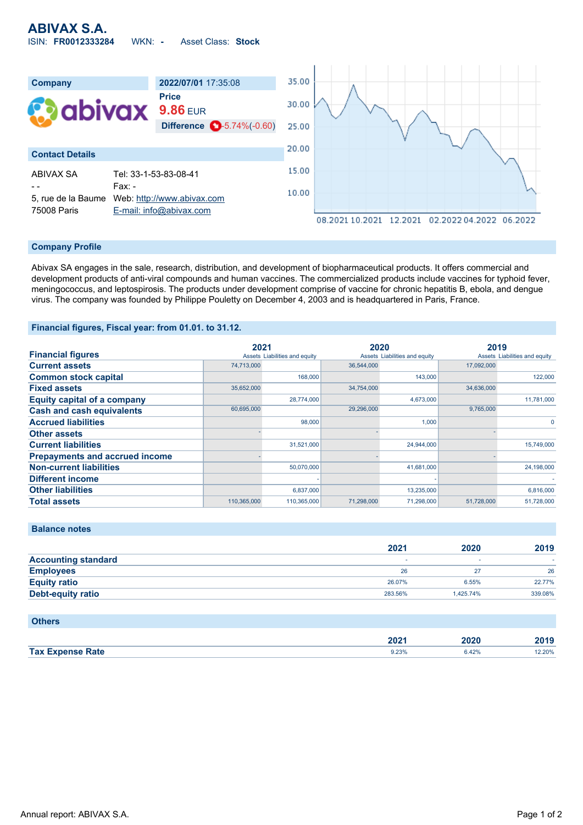

#### **Company Profile**

Abivax SA engages in the sale, research, distribution, and development of biopharmaceutical products. It offers commercial and development products of anti-viral compounds and human vaccines. The commercialized products include vaccines for typhoid fever, meningococcus, and leptospirosis. The products under development comprise of vaccine for chronic hepatitis B, ebola, and dengue virus. The company was founded by Philippe Pouletty on December 4, 2003 and is headquartered in Paris, France.

### **Financial figures, Fiscal year: from 01.01. to 31.12.**

|                                       | 2021        |                               | 2020       |                               | 2019       |                               |
|---------------------------------------|-------------|-------------------------------|------------|-------------------------------|------------|-------------------------------|
| <b>Financial figures</b>              |             | Assets Liabilities and equity |            | Assets Liabilities and equity |            | Assets Liabilities and equity |
| <b>Current assets</b>                 | 74,713,000  |                               | 36.544.000 |                               | 17,092,000 |                               |
| <b>Common stock capital</b>           |             | 168,000                       |            | 143,000                       |            | 122,000                       |
| <b>Fixed assets</b>                   | 35.652.000  |                               | 34.754.000 |                               | 34.636.000 |                               |
| <b>Equity capital of a company</b>    |             | 28,774,000                    |            | 4,673,000                     |            | 11,781,000                    |
| <b>Cash and cash equivalents</b>      | 60,695,000  |                               | 29,296,000 |                               | 9,765,000  |                               |
| <b>Accrued liabilities</b>            |             | 98,000                        |            | 1,000                         |            | $\Omega$                      |
| <b>Other assets</b>                   |             |                               |            |                               |            |                               |
| <b>Current liabilities</b>            |             | 31,521,000                    |            | 24,944,000                    |            | 15,749,000                    |
| <b>Prepayments and accrued income</b> |             |                               |            |                               |            |                               |
| <b>Non-current liabilities</b>        |             | 50.070.000                    |            | 41,681,000                    |            | 24,198,000                    |
| <b>Different income</b>               |             |                               |            |                               |            |                               |
| <b>Other liabilities</b>              |             | 6,837,000                     |            | 13,235,000                    |            | 6,816,000                     |
| <b>Total assets</b>                   | 110,365,000 | 110,365,000                   | 71,298,000 | 71,298,000                    | 51,728,000 | 51,728,000                    |

|                            | 2021    | 2020      | 2019    |
|----------------------------|---------|-----------|---------|
| <b>Accounting standard</b> | -       |           |         |
| <b>Employees</b>           | 26      | 27        | 26      |
| <b>Equity ratio</b>        | 26.07%  | 6.55%     | 22.77%  |
| <b>Debt-equity ratio</b>   | 283.56% | 1.425.74% | 339.08% |
|                            |         |           |         |

## **Others**

**Balance notes**

|             | $\sim$<br>ZUZ | ה הו<br>wzu<br>____ | 0.40<br>20 I J |
|-------------|---------------|---------------------|----------------|
| Tax E.      | 9.23%         | .42%                | 2.20%          |
| <b>Rate</b> |               |                     |                |